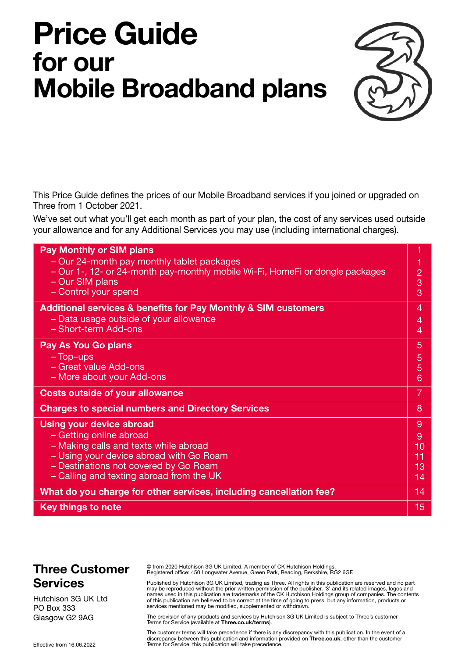# **Price Guide for our Mobile Broadband plans**



This Price Guide defines the prices of our Mobile Broadband services if you joined or upgraded on Three from 1 October 2021.

We've set out what you'll get each month as part of your plan, the cost of any services used outside your allowance and for any Additional Services you may use (including international charges).

| <b>Pay Monthly or SIM plans</b>                                                                                                                |        |
|------------------------------------------------------------------------------------------------------------------------------------------------|--------|
| - Our 24-month pay monthly tablet packages<br>- Our 1-, 12- or 24-month pay-monthly mobile Wi-Fi, HomeFi or dongle packages<br>- Our SIM plans | 2<br>3 |
| - Control your spend                                                                                                                           | 3      |
| <b>Additional services &amp; benefits for Pay Monthly &amp; SIM customers</b>                                                                  | 4      |
| - Data usage outside of your allowance                                                                                                         | 4      |
| - Short-term Add-ons                                                                                                                           | 4      |
| <b>Pay As You Go plans</b>                                                                                                                     | 5      |
| $-$ Top-ups                                                                                                                                    | 5      |
| - Great value Add-ons                                                                                                                          | 5      |
| - More about your Add-ons                                                                                                                      | 6      |
| <b>Costs outside of your allowance</b>                                                                                                         | 7      |
| <b>Charges to special numbers and Directory Services</b>                                                                                       | 8      |
| <b>Using your device abroad</b>                                                                                                                | 9      |
| - Getting online abroad                                                                                                                        | 9      |
| - Making calls and texts while abroad                                                                                                          | 10     |
| - Using your device abroad with Go Roam                                                                                                        | 11     |
| - Destinations not covered by Go Roam                                                                                                          | 13     |
| - Calling and texting abroad from the UK                                                                                                       | 14     |
| What do you charge for other services, including cancellation fee?                                                                             | 14     |
| <b>Key things to note</b>                                                                                                                      | 15     |

### **Three Customer Services**

Hutchison 3G UK Ltd PO Box 333 Glasgow G2 9AG

© from 2020 Hutchison 3G UK Limited. A member of CK Hutchison Holdings. Registered office: 450 Longwater Avenue, Green Park, Reading, Berkshire, RG2 6GF.

Published by Hutchison 3G UK Limited, trading as Three. All rights in this publication are reserved and no part may be reproduced without the prior written permission of the publisher. '3' and its related images, logos and names used in this publication are trademarks of the CK Hutchison Holdings group of companies. The contents of this publication are believed to be correct at the time of going to press, but any information, products or services mentioned may be modified, supplemented or withdrawn.

The provision of any products and services by Hutchison 3G UK Limited is subject to Three's customer Terms for Service (available at **[Three.co.uk/terms](http://Three.co.uk/terms)**).

The customer terms will take precedence if there is any discrepancy with this publication. In the event of a discrepancy between this publication and information provided on **[Three.co.uk](http://Three.co.uk)**, other than the customer Terms for Service, this publication will take precedence.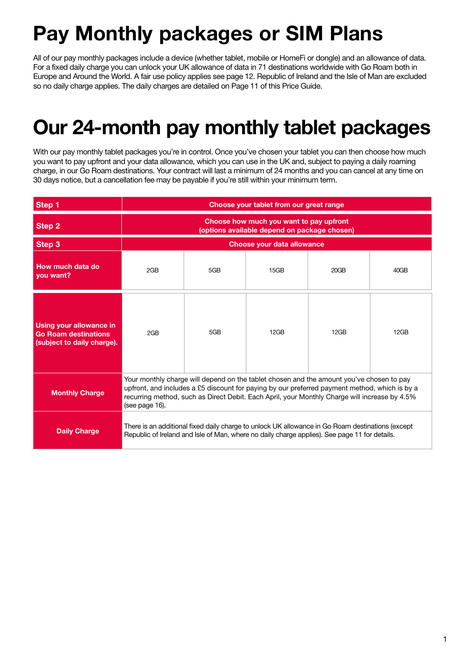## **Pay Monthly packages or SIM Plans**

All of our pay monthly packages include a device (whether tablet, mobile or HomeFi or dongle) and an allowance of data. For a fixed daily charge you can unlock your UK allowance of data in 71 destinations worldwide with Go Roam both in Europe and Around the World. A fair use policy applies see page 12. Republic of Ireland and the Isle of Man are excluded so no daily charge applies. The daily charges are detailed on Page 11 of this Price Guide.

## **Our 24-month pay monthly tablet packages**

With our pay monthly tablet packages you're in control. Once you've chosen your tablet you can then choose how much you want to pay upfront and your data allowance, which you can use in the UK and, subject to paying a daily roaming charge, in our Go Roam destinations. Your contract will last a minimum of 24 months and you can cancel at any time on 30 days notice, but a cancellation fee may be payable if you're still within your minimum term.

| Step 1                                                                               | Choose your tablet from our great range                                                 |                                                                                                                                                                                                                                                                                            |      |      |      |  |  |  |  |
|--------------------------------------------------------------------------------------|-----------------------------------------------------------------------------------------|--------------------------------------------------------------------------------------------------------------------------------------------------------------------------------------------------------------------------------------------------------------------------------------------|------|------|------|--|--|--|--|
| Step 2                                                                               | Choose how much you want to pay upfront<br>(options available depend on package chosen) |                                                                                                                                                                                                                                                                                            |      |      |      |  |  |  |  |
| Step 3                                                                               | Choose your data allowance                                                              |                                                                                                                                                                                                                                                                                            |      |      |      |  |  |  |  |
| How much data do<br>you want?                                                        | 2GB                                                                                     | 5GB                                                                                                                                                                                                                                                                                        | 15GB | 20GB | 40GB |  |  |  |  |
| Using your allowance in<br><b>Go Roam destinations</b><br>(subject to daily charge). | 2GB                                                                                     | 5GB                                                                                                                                                                                                                                                                                        | 12GB | 12GB | 12GB |  |  |  |  |
| <b>Monthly Charge</b>                                                                | (see page 16).                                                                          | Your monthly charge will depend on the tablet chosen and the amount you've chosen to pay<br>upfront, and includes a £5 discount for paying by our preferred payment method, which is by a<br>recurring method, such as Direct Debit. Each April, your Monthly Charge will increase by 4.5% |      |      |      |  |  |  |  |
| <b>Daily Charge</b>                                                                  |                                                                                         | There is an additional fixed daily charge to unlock UK allowance in Go Roam destinations (except<br>Republic of Ireland and Isle of Man, where no daily charge applies). See page 11 for details.                                                                                          |      |      |      |  |  |  |  |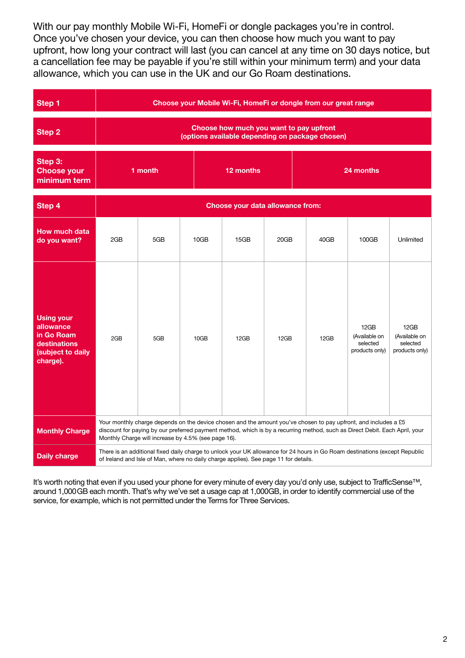With our pay monthly Mobile Wi-Fi, HomeFi or dongle packages you're in control. Once you've chosen your device, you can then choose how much you want to pay upfront, how long your contract will last (you can cancel at any time on 30 days notice, but a cancellation fee may be payable if you're still within your minimum term) and your data allowance, which you can use in the UK and our Go Roam destinations.

<span id="page-2-0"></span>

| Step 1                                                                                        | Choose your Mobile Wi-Fi, HomeFi or dongle from our great range |                                                                                                                                                                                                                                                                                                       |      |           |                                  |      |                                                                                                                             |                                                     |  |  |
|-----------------------------------------------------------------------------------------------|-----------------------------------------------------------------|-------------------------------------------------------------------------------------------------------------------------------------------------------------------------------------------------------------------------------------------------------------------------------------------------------|------|-----------|----------------------------------|------|-----------------------------------------------------------------------------------------------------------------------------|-----------------------------------------------------|--|--|
| Step 2                                                                                        |                                                                 | Choose how much you want to pay upfront<br>(options available depending on package chosen)                                                                                                                                                                                                            |      |           |                                  |      |                                                                                                                             |                                                     |  |  |
| Step 3:<br><b>Choose your</b><br>minimum term                                                 |                                                                 | 1 month                                                                                                                                                                                                                                                                                               |      | 12 months |                                  |      | 24 months                                                                                                                   |                                                     |  |  |
| Step 4                                                                                        |                                                                 |                                                                                                                                                                                                                                                                                                       |      |           | Choose your data allowance from: |      |                                                                                                                             |                                                     |  |  |
| <b>How much data</b><br>do you want?                                                          | 2GB                                                             | 5GB                                                                                                                                                                                                                                                                                                   | 10GB | 15GB      | 20GB                             | 40GB | 100GB                                                                                                                       | Unlimited                                           |  |  |
| <b>Using your</b><br>allowance<br>in Go Roam<br>destinations<br>(subject to daily<br>charge). | 2GB                                                             | 5GB                                                                                                                                                                                                                                                                                                   | 10GB | 12GB      | 12GB                             | 12GB | 12GB<br>(Available on<br>selected<br>products only)                                                                         | 12GB<br>(Available on<br>selected<br>products only) |  |  |
| <b>Monthly Charge</b>                                                                         |                                                                 | Your monthly charge depends on the device chosen and the amount you've chosen to pay upfront, and includes a £5<br>discount for paying by our preferred payment method, which is by a recurring method, such as Direct Debit. Each April, your<br>Monthly Charge will increase by 4.5% (see page 16). |      |           |                                  |      |                                                                                                                             |                                                     |  |  |
| <b>Daily charge</b>                                                                           |                                                                 | of Ireland and Isle of Man, where no daily charge applies). See page 11 for details.                                                                                                                                                                                                                  |      |           |                                  |      | There is an additional fixed daily charge to unlock your UK allowance for 24 hours in Go Roam destinations (except Republic |                                                     |  |  |

It's worth noting that even if you used your phone for every minute of every day you'd only use, subject to TrafficSense™, around 1,000GB each month. That's why we've set a usage cap at 1,000GB, in order to identify commercial use of the service, for example, which is not permitted under the Terms for Three Services.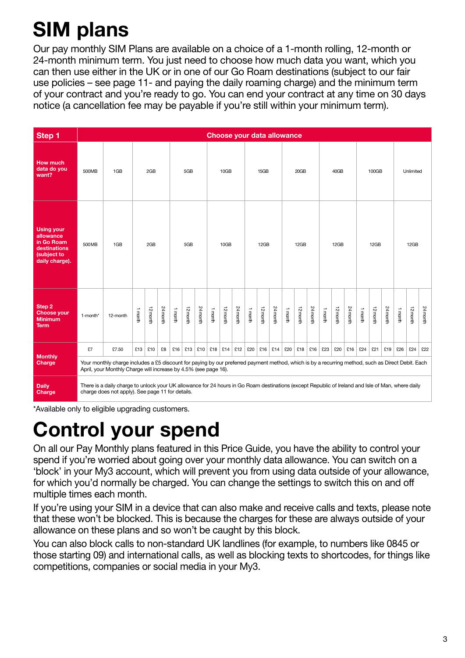# <span id="page-3-0"></span>**SIM plans**

Our pay monthly SIM Plans are available on a choice of a 1-month rolling, 12-month or 24-month minimum term. You just need to choose how much data you want, which you can then use either in the UK or in one of our Go Roam destinations (subject to our fair use policies – see page 11- and paying the daily roaming charge) and the minimum term of your contract and you're ready to go. You can end your contract at any time on 30 days notice (a cancellation fee may be payable if you're still within your minimum term).

| Step 1                                                                                        | <b>Choose your data allowance</b>                                                                                                                                                                                                                                        |                                                                                                                                                            |         |          |          |         |          |          |         |          |           |              |          |          |         |          |          |           |          |          |         |          |          |         |          |          |
|-----------------------------------------------------------------------------------------------|--------------------------------------------------------------------------------------------------------------------------------------------------------------------------------------------------------------------------------------------------------------------------|------------------------------------------------------------------------------------------------------------------------------------------------------------|---------|----------|----------|---------|----------|----------|---------|----------|-----------|--------------|----------|----------|---------|----------|----------|-----------|----------|----------|---------|----------|----------|---------|----------|----------|
| <b>How much</b><br>data do you<br>want?                                                       | 500MB                                                                                                                                                                                                                                                                    | 1GB                                                                                                                                                        |         | 2GB      |          | 5GB     |          | 10GB     |         | 15GB     |           | 20GB<br>40GB |          |          | 100GB   |          |          | Unlimited |          |          |         |          |          |         |          |          |
| <b>Using your</b><br>allowance<br>in Go Roam<br>destinations<br>(subject to<br>daily charge). | 500 MB                                                                                                                                                                                                                                                                   | 1GB                                                                                                                                                        |         | 2GB      |          |         | 5GB      |          |         | 10GB     |           |              | 12GB     |          |         | 12GB     |          |           | 12GB     |          |         | 12GB     |          |         | 12GB     |          |
| Step 2<br><b>Choose your</b><br><b>Minimum</b><br><b>Term</b>                                 | 1-month*                                                                                                                                                                                                                                                                 | 12-month                                                                                                                                                   | 1 month | 12 month | 24 month | 1 month | 12 month | 24 month | 1 month | 12 month | 24 month  | 1 month      | 12 month | 24 month | 1 month | 12 month | 24 month | 1 month   | 12 month | 24 month | 1 month | 12 month | 24 month | 1 month | 12 month | 24 month |
| <b>Monthly</b><br>Charge                                                                      | £7                                                                                                                                                                                                                                                                       | £7.50<br>Your monthly charge includes a £5 discount for paying by our preferred payment method, which is by a recurring method, such as Direct Debit. Each | £13     | £10      | £8       | £16     | £13      | £10      | £18     |          | $£14$ £12 | £20          | £16      | £14      | £20     | £18      | £16      | £23       | £20      | £16      | £24     | £21      | £19      | £26     | £24      | £22      |
| <b>Daily</b><br><b>Charge</b>                                                                 | April, your Monthly Charge will increase by 4.5% (see page 16).<br>There is a daily charge to unlock your UK allowance for 24 hours in Go Roam destinations (except Republic of Ireland and Isle of Man, where daily<br>charge does not apply). See page 11 for details. |                                                                                                                                                            |         |          |          |         |          |          |         |          |           |              |          |          |         |          |          |           |          |          |         |          |          |         |          |          |

\*Available only to eligible upgrading customers.

## <span id="page-3-1"></span>**Control your spend**

On all our Pay Monthly plans featured in this Price Guide, you have the ability to control your spend if you're worried about going over your monthly data allowance. You can switch on a 'block' in your My3 account, which will prevent you from using data outside of your allowance, for which you'd normally be charged. You can change the settings to switch this on and off multiple times each month.

If you're using your SIM in a device that can also make and receive calls and texts, please note that these won't be blocked. This is because the charges for these are always outside of your allowance on these plans and so won't be caught by this block.

You can also block calls to non-standard UK landlines (for example, to numbers like 0845 or those starting 09) and international calls, as well as blocking texts to shortcodes, for things like competitions, companies or social media in your My3.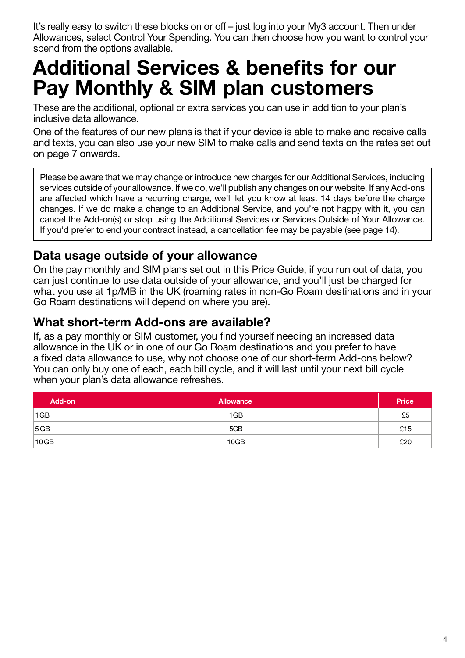It's really easy to switch these blocks on or off – just log into your My3 account. Then under Allowances, select Control Your Spending. You can then choose how you want to control your spend from the options available.

## <span id="page-4-0"></span>**Additional Services & benefits for our Pay Monthly & SIM plan customers**

These are the additional, optional or extra services you can use in addition to your plan's inclusive data allowance.

One of the features of our new plans is that if your device is able to make and receive calls and texts, you can also use your new SIM to make calls and send texts on the rates set out on page 7 onwards.

Please be aware that we may change or introduce new charges for our Additional Services, including services outside of your allowance. If we do, we'll publish any changes on our website. If any Add-ons are affected which have a recurring charge, we'll let you know at least 14 days before the charge changes. If we do make a change to an Additional Service, and you're not happy with it, you can cancel the Add-on(s) or stop using the Additional Services or Services Outside of Your Allowance. If you'd prefer to end your contract instead, a cancellation fee may be payable (see page 14).

## <span id="page-4-1"></span>**Data usage outside of your allowance**

On the pay monthly and SIM plans set out in this Price Guide, if you run out of data, you can just continue to use data outside of your allowance, and you'll just be charged for what you use at 1p/MB in the UK (roaming rates in non-Go Roam destinations and in your Go Roam destinations will depend on where you are).

### <span id="page-4-2"></span>**What short-term Add-ons are available?**

If, as a pay monthly or SIM customer, you find yourself needing an increased data allowance in the UK or in one of our Go Roam destinations and you prefer to have a fixed data allowance to use, why not choose one of our short-term Add-ons below? You can only buy one of each, each bill cycle, and it will last until your next bill cycle when your plan's data allowance refreshes.

| Add-on | <b>Allowance</b> | <b>Price</b> |
|--------|------------------|--------------|
| 1GB    | 1GB              | £5           |
| 5GB    | 5GB              | £15          |
| 10GB   | 10GB             | £20          |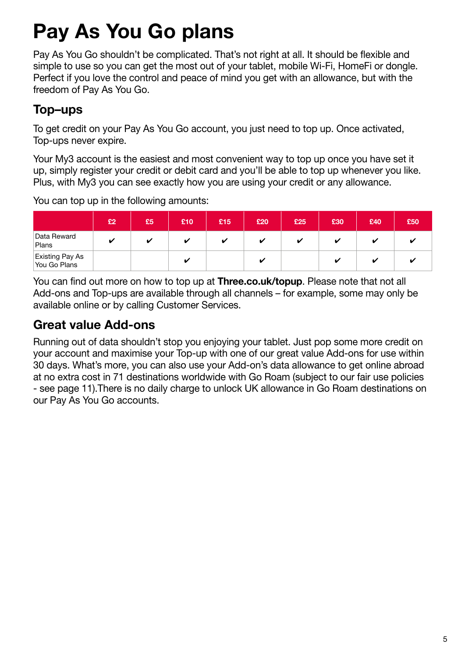# <span id="page-5-0"></span>**Pay As You Go plans**

Pay As You Go shouldn't be complicated. That's not right at all. It should be flexible and simple to use so you can get the most out of your tablet, mobile Wi-Fi, HomeFi or dongle. Perfect if you love the control and peace of mind you get with an allowance, but with the freedom of Pay As You Go.

## <span id="page-5-1"></span>**Top–ups**

To get credit on your Pay As You Go account, you just need to top up. Once activated, Top-ups never expire.

Your My3 account is the easiest and most convenient way to top up once you have set it up, simply register your credit or debit card and you'll be able to top up whenever you like. Plus, with My3 you can see exactly how you are using your credit or any allowance.

You can top up in the following amounts:

|                                 | £2 | £5 | £10 | £15 | £20 | £25 | £30 | £40 | £50 |
|---------------------------------|----|----|-----|-----|-----|-----|-----|-----|-----|
| Data Reward<br>Plans            | ✔  | u  | M   | v   |     |     |     |     |     |
| Existing Pay As<br>You Go Plans |    |    |     |     |     |     |     |     |     |

You can find out more on how to top up at **[Three.co.uk/topup](http://Three.co.uk/topup)**. Please note that not all Add-ons and Top-ups are available through all channels – for example, some may only be available online or by calling Customer Services.

## <span id="page-5-2"></span>**Great value Add-ons**

Running out of data shouldn't stop you enjoying your tablet. Just pop some more credit on your account and maximise your Top-up with one of our great value Add-ons for use within 30 days. What's more, you can also use your Add-on's data allowance to get online abroad at no extra cost in 71 destinations worldwide with Go Roam (subject to our fair use policies - see page 11).There is no daily charge to unlock UK allowance in Go Roam destinations on our Pay As You Go accounts.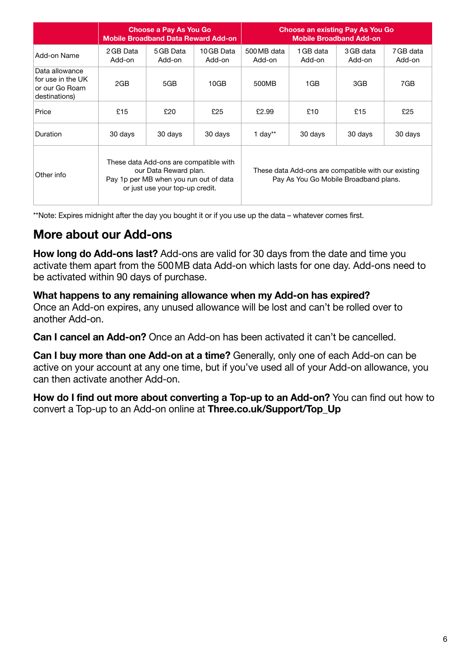|                                                                        |                     | <b>Choose a Pay As You Go</b><br><b>Mobile Broadband Data Reward Add-on</b>                                                                  |                      | <b>Choose an existing Pay As You Go</b><br><b>Mobile Broadband Add-on</b> |                     |                                                                                              |                     |  |  |
|------------------------------------------------------------------------|---------------------|----------------------------------------------------------------------------------------------------------------------------------------------|----------------------|---------------------------------------------------------------------------|---------------------|----------------------------------------------------------------------------------------------|---------------------|--|--|
| Add-on Name                                                            | 2 GB Data<br>Add-on | 5 GB Data<br>Add-on                                                                                                                          | 10 GB Data<br>Add-on | 500 MB data<br>Add-on                                                     | 1 GB data<br>Add-on | 3 GB data<br>Add-on                                                                          | 7 GB data<br>Add-on |  |  |
| Data allowance<br>for use in the UK<br>or our Go Roam<br>destinations) | 2GB                 | 5GB                                                                                                                                          | 10GB                 | 500MB                                                                     | 1GB                 | 3GB                                                                                          | 7GB                 |  |  |
| Price                                                                  | £15                 | £20                                                                                                                                          | £25                  | £2.99                                                                     | £10                 | £15                                                                                          | £25                 |  |  |
| Duration                                                               | 30 days             | 30 days                                                                                                                                      | 30 days              | 1 day**                                                                   | 30 days             | 30 days                                                                                      | 30 days             |  |  |
| Other info                                                             |                     | These data Add-ons are compatible with<br>our Data Reward plan.<br>Pay 1p per MB when you run out of data<br>or just use your top-up credit. |                      |                                                                           |                     | These data Add-ons are compatible with our existing<br>Pay As You Go Mobile Broadband plans. |                     |  |  |

\*\*Note: Expires midnight after the day you bought it or if you use up the data – whatever comes first.

## <span id="page-6-0"></span>**More about our Add-ons**

**How long do Add-ons last?** Add-ons are valid for 30 days from the date and time you activate them apart from the 500MB data Add-on which lasts for one day. Add-ons need to be activated within 90 days of purchase.

**What happens to any remaining allowance when my Add-on has expired?**  Once an Add-on expires, any unused allowance will be lost and can't be rolled over to another Add-on.

**Can I cancel an Add-on?** Once an Add-on has been activated it can't be cancelled.

**Can I buy more than one Add-on at a time?** Generally, only one of each Add-on can be active on your account at any one time, but if you've used all of your Add-on allowance, you can then activate another Add-on.

**How do I find out more about converting a Top-up to an Add-on?** You can find out how to convert a Top-up to an Add-on online at **[Three.co.uk/Support/Top\\_Up](http://Three.co.uk/Support/Top_Up)**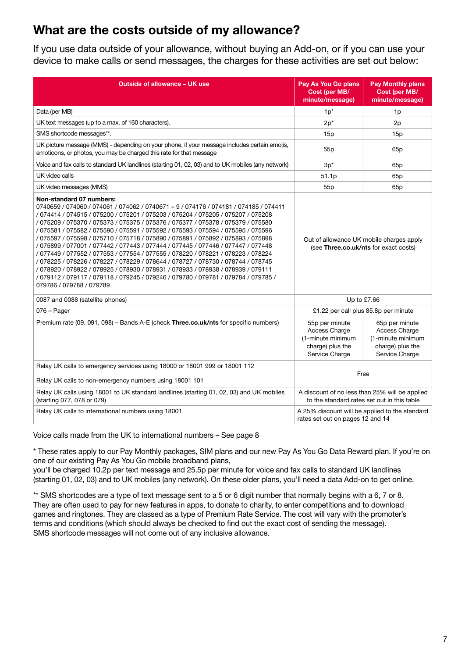## <span id="page-7-0"></span>**What are the costs outside of my allowance?**

If you use data outside of your allowance, without buying an Add-on, or if you can use your device to make calls or send messages, the charges for these activities are set out below:

| <b>Outside of allowance - UK use</b>                                                                                                                                                                                                                                                                                                                                                                                                                                                                                                                                                                                                                                                                                                                                                                                                                                                                                               | Pay As You Go plans<br>Cost (per MB/<br>minute/message)                                       | <b>Pay Monthly plans</b><br>Cost (per MB/<br>minute/message)                               |  |  |
|------------------------------------------------------------------------------------------------------------------------------------------------------------------------------------------------------------------------------------------------------------------------------------------------------------------------------------------------------------------------------------------------------------------------------------------------------------------------------------------------------------------------------------------------------------------------------------------------------------------------------------------------------------------------------------------------------------------------------------------------------------------------------------------------------------------------------------------------------------------------------------------------------------------------------------|-----------------------------------------------------------------------------------------------|--------------------------------------------------------------------------------------------|--|--|
| Data (per MB)                                                                                                                                                                                                                                                                                                                                                                                                                                                                                                                                                                                                                                                                                                                                                                                                                                                                                                                      | $1p^*$                                                                                        | 1p                                                                                         |  |  |
| UK text messages (up to a max. of 160 characters).                                                                                                                                                                                                                                                                                                                                                                                                                                                                                                                                                                                                                                                                                                                                                                                                                                                                                 | $2p^*$                                                                                        | 2p                                                                                         |  |  |
| SMS shortcode messages**.                                                                                                                                                                                                                                                                                                                                                                                                                                                                                                                                                                                                                                                                                                                                                                                                                                                                                                          | 15p                                                                                           | 15p                                                                                        |  |  |
| UK picture message (MMS) - depending on your phone, if your message includes certain emojis,<br>emoticons, or photos, you may be charged this rate for that message                                                                                                                                                                                                                                                                                                                                                                                                                                                                                                                                                                                                                                                                                                                                                                | 55 <sub>p</sub>                                                                               | 65 <sub>p</sub>                                                                            |  |  |
| Voice and fax calls to standard UK landlines (starting 01, 02, 03) and to UK mobiles (any network)                                                                                                                                                                                                                                                                                                                                                                                                                                                                                                                                                                                                                                                                                                                                                                                                                                 | $3p^*$                                                                                        | 65 <sub>p</sub>                                                                            |  |  |
| UK video calls                                                                                                                                                                                                                                                                                                                                                                                                                                                                                                                                                                                                                                                                                                                                                                                                                                                                                                                     | 51.1p                                                                                         | 65 <sub>p</sub>                                                                            |  |  |
| UK video messages (MMS)                                                                                                                                                                                                                                                                                                                                                                                                                                                                                                                                                                                                                                                                                                                                                                                                                                                                                                            | 55 <sub>p</sub>                                                                               | 65p                                                                                        |  |  |
| Non-standard 07 numbers:<br>0740659 / 074060 / 074061 / 074062 / 0740671 - 9 / 074176 / 074181 / 074185 / 074411<br>/ 074414 / 074515 / 075200 / 075201 / 075203 / 075204 / 075205 / 075207 / 075208<br>/ 075209 / 075370 / 075373 / 075375 / 075376 / 075377 / 075378 / 075379 / 075580<br>/ 075581 / 075582 / 075590 / 075591 / 075592 / 075593 / 075594 / 075595 / 075596<br>/ 075597 / 075598 / 075710 / 075718 / 075890 / 075891 / 075892 / 075893 / 075898<br>/ 075899 / 077001 / 077442 / 077443 / 077444 / 077445 / 077446 / 077447 / 077448<br>/ 077449 / 077552 / 077553 / 077554 / 077555 / 078220 / 078221 / 078223 / 078224<br>/ 078225 / 078226 / 078227 / 078229 / 078644 / 078727 / 078730 / 078744 / 078745<br>/ 078920 / 078922 / 078925 / 078930 / 078931 / 078933 / 078938 / 078939 / 079111<br>/ 079112 / 079117 / 079118 / 079245 / 079246 / 079780 / 079781 / 079784 / 079785 /<br>079786 / 079788 / 079789 | Out of allowance UK mobile charges apply<br>(see Three.co.uk/nts for exact costs)             |                                                                                            |  |  |
| 0087 and 0088 (satellite phones)                                                                                                                                                                                                                                                                                                                                                                                                                                                                                                                                                                                                                                                                                                                                                                                                                                                                                                   | Up to £7.66                                                                                   |                                                                                            |  |  |
| $076 - Page$                                                                                                                                                                                                                                                                                                                                                                                                                                                                                                                                                                                                                                                                                                                                                                                                                                                                                                                       | £1.22 per call plus 85.8p per minute                                                          |                                                                                            |  |  |
| Premium rate (09, 091, 098) - Bands A-E (check Three.co.uk/nts for specific numbers)                                                                                                                                                                                                                                                                                                                                                                                                                                                                                                                                                                                                                                                                                                                                                                                                                                               | 55p per minute<br>Access Charge<br>(1-minute minimum<br>charge) plus the<br>Service Charge    | 65p per minute<br>Access Charge<br>(1-minute minimum<br>charge) plus the<br>Service Charge |  |  |
| Relay UK calls to emergency services using 18000 or 18001 999 or 18001 112                                                                                                                                                                                                                                                                                                                                                                                                                                                                                                                                                                                                                                                                                                                                                                                                                                                         |                                                                                               |                                                                                            |  |  |
| Relay UK calls to non-emergency numbers using 18001 101                                                                                                                                                                                                                                                                                                                                                                                                                                                                                                                                                                                                                                                                                                                                                                                                                                                                            | Free                                                                                          |                                                                                            |  |  |
| Relay UK calls using 18001 to UK standard landlines (starting 01, 02, 03) and UK mobiles<br>(starting 077, 078 or 079)                                                                                                                                                                                                                                                                                                                                                                                                                                                                                                                                                                                                                                                                                                                                                                                                             | A discount of no less than 25% will be applied<br>to the standard rates set out in this table |                                                                                            |  |  |
| Relay UK calls to international numbers using 18001                                                                                                                                                                                                                                                                                                                                                                                                                                                                                                                                                                                                                                                                                                                                                                                                                                                                                | A 25% discount will be applied to the standard<br>rates set out on pages 12 and 14            |                                                                                            |  |  |

Voice calls made from the UK to international numbers – See page 8

\* These rates apply to our Pay Monthly packages, SIM plans and our new Pay As You Go Data Reward plan. If you're on one of our existing Pay As You Go mobile broadband plans,

you'll be charged 10.2p per text message and 25.5p per minute for voice and fax calls to standard UK landlines (starting 01, 02, 03) and to UK mobiles (any network). On these older plans, you'll need a data Add-on to get online.

\*\* SMS shortcodes are a type of text message sent to a 5 or 6 digit number that normally begins with a 6, 7 or 8. They are often used to pay for new features in apps, to donate to charity, to enter competitions and to download games and ringtones. They are classed as a type of Premium Rate Service. The cost will vary with the promoter's terms and conditions (which should always be checked to find out the exact cost of sending the message). SMS shortcode messages will not come out of any inclusive allowance.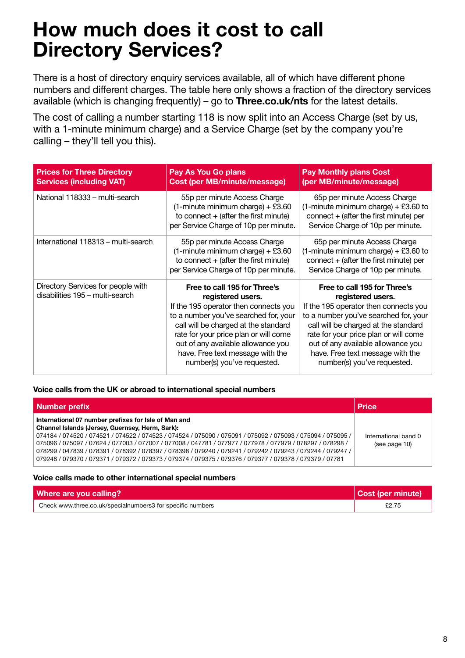## <span id="page-8-0"></span>**How much does it cost to call Directory Services?**

There is a host of directory enquiry services available, all of which have different phone numbers and different charges. The table here only shows a fraction of the directory services available (which is changing frequently) – go to **[Three.co.uk/nts](http://Three.co.uk/nts)** for the latest details.

The cost of calling a number starting 118 is now split into an Access Charge (set by us, with a 1-minute minimum charge) and a Service Charge (set by the company you're calling – they'll tell you this).

| <b>Prices for Three Directory</b><br><b>Services (including VAT)</b>  | Pay As You Go plans<br><b>Cost (per MB/minute/message)</b>                                                                                                                                                                                                                                                                    | <b>Pay Monthly plans Cost</b><br>(per MB/minute/message)                                                                                                                                                                                                                                                                      |
|-----------------------------------------------------------------------|-------------------------------------------------------------------------------------------------------------------------------------------------------------------------------------------------------------------------------------------------------------------------------------------------------------------------------|-------------------------------------------------------------------------------------------------------------------------------------------------------------------------------------------------------------------------------------------------------------------------------------------------------------------------------|
| National 118333 - multi-search                                        | 55p per minute Access Charge<br>$(1 - minute$ minimum charge) + £3.60<br>to connect $+$ (after the first minute)<br>per Service Charge of 10p per minute.                                                                                                                                                                     | 65p per minute Access Charge<br>$(1 - minute$ minimum charge) + £3.60 to<br>connect $+$ (after the first minute) per<br>Service Charge of 10p per minute.                                                                                                                                                                     |
| International 118313 – multi-search                                   | 55p per minute Access Charge<br>$(1 - minute$ minimum charge) + £3.60<br>to connect $+$ (after the first minute)<br>per Service Charge of 10p per minute.                                                                                                                                                                     | 65p per minute Access Charge<br>$(1$ -minute minimum charge) + £3.60 to<br>$connect + (after the first minute) per$<br>Service Charge of 10p per minute.                                                                                                                                                                      |
| Directory Services for people with<br>disabilities 195 - multi-search | Free to call 195 for Three's<br>registered users.<br>If the 195 operator then connects you<br>to a number you've searched for, your<br>call will be charged at the standard<br>rate for your price plan or will come<br>out of any available allowance you<br>have. Free text message with the<br>number(s) you've requested. | Free to call 195 for Three's<br>registered users.<br>If the 195 operator then connects you<br>to a number you've searched for, your<br>call will be charged at the standard<br>rate for your price plan or will come<br>out of any available allowance you<br>have. Free text message with the<br>number(s) you've requested. |

#### **Voice calls from the UK or abroad to international special numbers**

| Number prefix                                                                                                                                                                                                                                                                                                                                                                                                                                                                                                                                             | <b>Price</b>                          |
|-----------------------------------------------------------------------------------------------------------------------------------------------------------------------------------------------------------------------------------------------------------------------------------------------------------------------------------------------------------------------------------------------------------------------------------------------------------------------------------------------------------------------------------------------------------|---------------------------------------|
| International 07 number prefixes for Isle of Man and<br>Channel Islands (Jersey, Guernsey, Herm, Sark):<br>074184 / 074520 / 074521 / 074522 / 074523 / 074524 / 075090 / 075091 / 075092 / 075093 / 075094 / 075095<br>075096 / 075097 / 07624 / 077003 / 077007 / 077008 / 047781 / 077977 / 077978 / 077979 / 078297 / 078298<br>078299 / 047839 / 078391 / 078392 / 078397 / 078398 / 079240 / 079241 / 079242 / 079243 / 079244 / 079247<br>079378 / 079370 / 079371 / 079372 / 079373 / 079374 / 079375 / 079376 / 079377 / 079378 / 079379 / 07781 | International band 0<br>(see page 10) |

#### **Voice calls made to other international special numbers**

| Where are you calling?                                     | Cost (per minute) |
|------------------------------------------------------------|-------------------|
| Check www.three.co.uk/specialnumbers3 for specific numbers | £2.75             |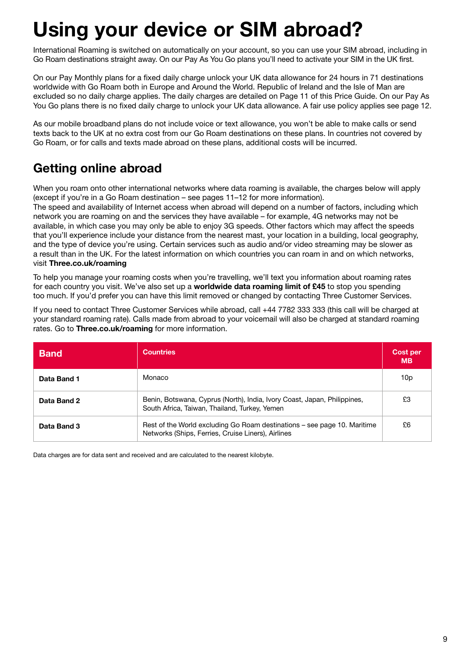## <span id="page-9-0"></span>**Using your device or SIM abroad?**

International Roaming is switched on automatically on your account, so you can use your SIM abroad, including in Go Roam destinations straight away. On our Pay As You Go plans you'll need to activate your SIM in the UK first.

On our Pay Monthly plans for a fixed daily charge unlock your UK data allowance for 24 hours in 71 destinations worldwide with Go Roam both in Europe and Around the World. Republic of Ireland and the Isle of Man are excluded so no daily charge applies. The daily charges are detailed on Page 11 of this Price Guide. On our Pay As You Go plans there is no fixed daily charge to unlock your UK data allowance. A fair use policy applies see page 12.

As our mobile broadband plans do not include voice or text allowance, you won't be able to make calls or send texts back to the UK at no extra cost from our Go Roam destinations on these plans. In countries not covered by Go Roam, or for calls and texts made abroad on these plans, additional costs will be incurred.

## <span id="page-9-1"></span>**Getting online abroad**

When you roam onto other international networks where data roaming is available, the charges below will apply (except if you're in a Go Roam destination – see pages 11–12 for more information).

The speed and availability of Internet access when abroad will depend on a number of factors, including which network you are roaming on and the services they have available – for example, 4G networks may not be available, in which case you may only be able to enjoy 3G speeds. Other factors which may affect the speeds that you'll experience include your distance from the nearest mast, your location in a building, local geography, and the type of device you're using. Certain services such as audio and/or video streaming may be slower as a result than in the UK. For the latest information on which countries you can roam in and on which networks, visit **[Three.co.uk/roaming](http://Three.co.uk/roaming)**

To help you manage your roaming costs when you're travelling, we'll text you information about roaming rates for each country you visit. We've also set up a **worldwide data roaming limit of £45** to stop you spending too much. If you'd prefer you can have this limit removed or changed by contacting Three Customer Services.

If you need to contact Three Customer Services while abroad, call +44 7782 333 333 (this call will be charged at your standard roaming rate). Calls made from abroad to your voicemail will also be charged at standard roaming rates. Go to **[Three.co.uk/roaming](http://Three.co.uk/roaming)** for more information.

| <b>Band</b> | <b>Countries</b>                                                                                                               | Cost per<br><b>MB</b> |
|-------------|--------------------------------------------------------------------------------------------------------------------------------|-----------------------|
| Data Band 1 | Monaco                                                                                                                         | 10p                   |
| Data Band 2 | Benin, Botswana, Cyprus (North), India, Ivory Coast, Japan, Philippines,<br>South Africa, Taiwan, Thailand, Turkey, Yemen      | £З                    |
| Data Band 3 | Rest of the World excluding Go Roam destinations - see page 10. Maritime<br>Networks (Ships, Ferries, Cruise Liners), Airlines | £6                    |

Data charges are for data sent and received and are calculated to the nearest kilobyte.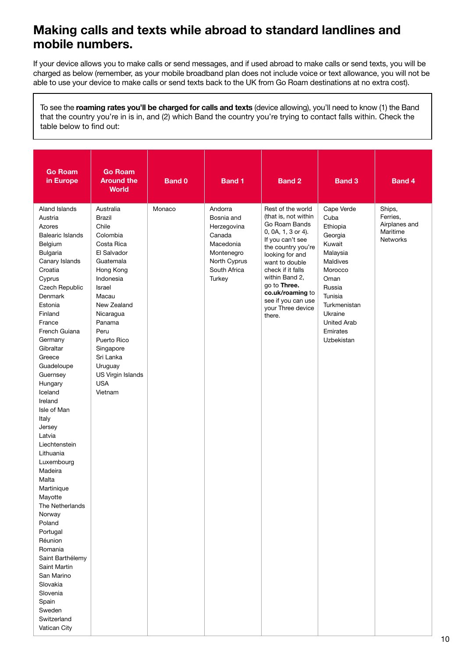## <span id="page-10-0"></span>**Making calls and texts while abroad to standard landlines and mobile numbers.**

If your device allows you to make calls or send messages, and if used abroad to make calls or send texts, you will be charged as below (remember, as your mobile broadband plan does not include voice or text allowance, you will not be able to use your device to make calls or send texts back to the UK from Go Roam destinations at no extra cost).

To see the **roaming rates you'll be charged for calls and texts** (device allowing), you'll need to know (1) the Band that the country you're in is in, and (2) which Band the country you're trying to contact falls within. Check the table below to find out:

| <b>Go Roam</b><br>in Europe                                                                                                                                                                                                                                                                                                                                                                                                                                                                                                                                                                                                             | <b>Go Roam</b><br><b>Around the</b><br><b>World</b>                                                                                                                                                                                                                             | <b>Band 0</b> | <b>Band 1</b>                                                                                                       | <b>Band 2</b>                                                                                                                                                                                                                                                                                   | <b>Band 3</b>                                                                                                                                                                                  | <b>Band 4</b>                                                      |
|-----------------------------------------------------------------------------------------------------------------------------------------------------------------------------------------------------------------------------------------------------------------------------------------------------------------------------------------------------------------------------------------------------------------------------------------------------------------------------------------------------------------------------------------------------------------------------------------------------------------------------------------|---------------------------------------------------------------------------------------------------------------------------------------------------------------------------------------------------------------------------------------------------------------------------------|---------------|---------------------------------------------------------------------------------------------------------------------|-------------------------------------------------------------------------------------------------------------------------------------------------------------------------------------------------------------------------------------------------------------------------------------------------|------------------------------------------------------------------------------------------------------------------------------------------------------------------------------------------------|--------------------------------------------------------------------|
| <b>Aland Islands</b><br>Austria<br>Azores<br><b>Balearic Islands</b><br>Belgium<br>Bulgaria<br>Canary Islands<br>Croatia<br>Cyprus<br>Czech Republic<br>Denmark<br>Estonia<br>Finland<br>France<br>French Guiana<br>Germany<br>Gibraltar<br>Greece<br>Guadeloupe<br>Guernsey<br>Hungary<br>Iceland<br>Ireland<br>Isle of Man<br>Italy<br>Jersey<br>Latvia<br>Liechtenstein<br>Lithuania<br>Luxembourg<br>Madeira<br>Malta<br>Martinique<br>Mayotte<br>The Netherlands<br>Norway<br>Poland<br>Portugal<br>Réunion<br>Romania<br>Saint Barthélemy<br>Saint Martin<br>San Marino<br>Slovakia<br>Slovenia<br>Spain<br>Sweden<br>Switzerland | Australia<br>Brazil<br>Chile<br>Colombia<br>Costa Rica<br>El Salvador<br>Guatemala<br>Hong Kong<br>Indonesia<br>Israel<br>Macau<br>New Zealand<br>Nicaragua<br>Panama<br>Peru<br>Puerto Rico<br>Singapore<br>Sri Lanka<br>Uruguay<br>US Virgin Islands<br><b>USA</b><br>Vietnam | Monaco        | Andorra<br>Bosnia and<br>Herzegovina<br>Canada<br>Macedonia<br>Montenegro<br>North Cyprus<br>South Africa<br>Turkey | Rest of the world<br>(that is, not within<br>Go Roam Bands<br>0, 0A, 1, 3 or 4).<br>If you can't see<br>the country you're<br>looking for and<br>want to double<br>check if it falls<br>within Band 2,<br>go to Three.<br>co.uk/roaming to<br>see if you can use<br>your Three device<br>there. | Cape Verde<br>Cuba<br>Ethiopia<br>Georgia<br>Kuwait<br>Malaysia<br>Maldives<br>Morocco<br>Oman<br>Russia<br>Tunisia<br>Turkmenistan<br>Ukraine<br><b>United Arab</b><br>Emirates<br>Uzbekistan | Ships,<br>Ferries,<br>Airplanes and<br>Maritime<br><b>Networks</b> |
| Vatican City                                                                                                                                                                                                                                                                                                                                                                                                                                                                                                                                                                                                                            |                                                                                                                                                                                                                                                                                 |               |                                                                                                                     |                                                                                                                                                                                                                                                                                                 |                                                                                                                                                                                                |                                                                    |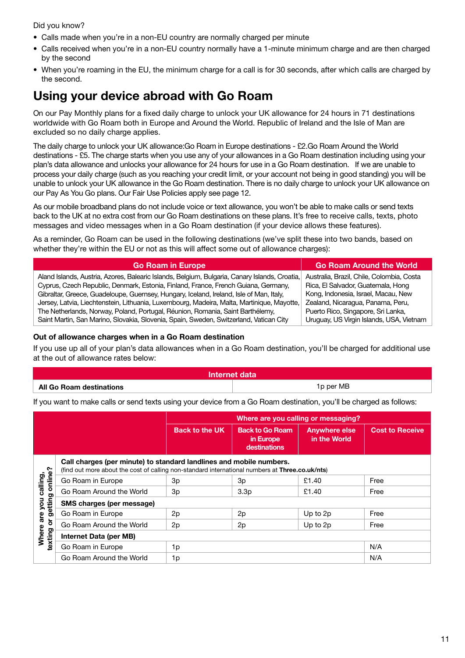Did you know?

- Calls made when you're in a non-EU country are normally charged per minute
- Calls received when you're in a non-EU country normally have a 1-minute minimum charge and are then charged by the second
- When you're roaming in the EU, the minimum charge for a call is for 30 seconds, after which calls are charged by the second.

## <span id="page-11-0"></span>**Using your device abroad with Go Roam**

On our Pay Monthly plans for a fixed daily charge to unlock your UK allowance for 24 hours in 71 destinations worldwide with Go Roam both in Europe and Around the World. Republic of Ireland and the Isle of Man are excluded so no daily charge applies.

The daily charge to unlock your UK allowance:Go Roam in Europe destinations - £2.Go Roam Around the World destinations - £5. The charge starts when you use any of your allowances in a Go Roam destination including using your plan's data allowance and unlocks your allowance for 24 hours for use in a Go Roam destination. If we are unable to process your daily charge (such as you reaching your credit limit, or your account not being in good standing) you will be unable to unlock your UK allowance in the Go Roam destination. There is no daily charge to unlock your UK allowance on our Pay As You Go plans. Our Fair Use Policies apply see page 12.

As our mobile broadband plans do not include voice or text allowance, you won't be able to make calls or send texts back to the UK at no extra cost from our Go Roam destinations on these plans. It's free to receive calls, texts, photo messages and video messages when in a Go Roam destination (if your device allows these features).

As a reminder, Go Roam can be used in the following destinations (we've split these into two bands, based on whether they're within the EU or not as this will affect some out of allowance charges):

| <b>Go Roam in Europe</b>                                                                      | <b>Go Roam Around the World</b>           |
|-----------------------------------------------------------------------------------------------|-------------------------------------------|
| Aland Islands, Austria, Azores, Balearic Islands, Belgium, Bulgaria, Canary Islands, Croatia, | Australia, Brazil, Chile, Colombia, Costa |
| Cyprus, Czech Republic, Denmark, Estonia, Finland, France, French Guiana, Germany,            | Rica, El Salvador, Guatemala, Hong        |
| Gibraltar, Greece, Guadeloupe, Guernsey, Hungary, Iceland, Ireland, Isle of Man, Italy,       | Kong, Indonesia, Israel, Macau, New       |
| Jersey, Latvia, Liechtenstein, Lithuania, Luxembourg, Madeira, Malta, Martinique, Mayotte,    | Zealand, Nicaragua, Panama, Peru,         |
| The Netherlands, Norway, Poland, Portugal, Réunion, Romania, Saint Barthélemy,                | Puerto Rico, Singapore, Sri Lanka,        |
| Saint Martin, San Marino, Slovakia, Slovenia, Spain, Sweden, Switzerland, Vatican City        | Uruguay, US Virgin Islands, USA, Vietnam  |

#### **Out of allowance charges when in a Go Roam destination**

If you use up all of your plan's data allowances when in a Go Roam destination, you'll be charged for additional use at the out of allowance rates below:

| Internet data            |           |  |
|--------------------------|-----------|--|
| All Go Roam destinations | 1p per MB |  |

If you want to make calls or send texts using your device from a Go Roam destination, you'll be charged as follows:

|                                            |                                                                                                                                                                        |                       |                                                     | Where are you calling or messaging?  |                        |
|--------------------------------------------|------------------------------------------------------------------------------------------------------------------------------------------------------------------------|-----------------------|-----------------------------------------------------|--------------------------------------|------------------------|
|                                            |                                                                                                                                                                        | <b>Back to the UK</b> | <b>Back to Go Roam</b><br>in Europe<br>destinations | <b>Anywhere else</b><br>in the World | <b>Cost to Receive</b> |
|                                            | Call charges (per minute) to standard landlines and mobile numbers.<br>(find out more about the cost of calling non-standard international numbers at Three.co.uk/nts) |                       |                                                     |                                      |                        |
| online?<br>calling,                        | Go Roam in Europe                                                                                                                                                      | 3p                    | 3p                                                  | £1.40                                | Free                   |
|                                            | Go Roam Around the World                                                                                                                                               | 3p                    | 3.3 <sub>p</sub>                                    | £1.40                                | Free                   |
| getting<br>you                             | SMS charges (per message)                                                                                                                                              |                       |                                                     |                                      |                        |
| are                                        | Go Roam in Europe                                                                                                                                                      | 2p                    | 2p                                                  | Up to 2p                             | Free                   |
| $\overleftarrow{\sigma}$                   | Go Roam Around the World                                                                                                                                               | 2p                    | 2p                                                  | Up to 2p                             | Free                   |
| Where<br>texting<br>Internet Data (per MB) |                                                                                                                                                                        |                       |                                                     |                                      |                        |
|                                            | Go Roam in Europe                                                                                                                                                      | 1p                    |                                                     |                                      | N/A                    |
|                                            | Go Roam Around the World                                                                                                                                               | N/A<br>1p             |                                                     |                                      |                        |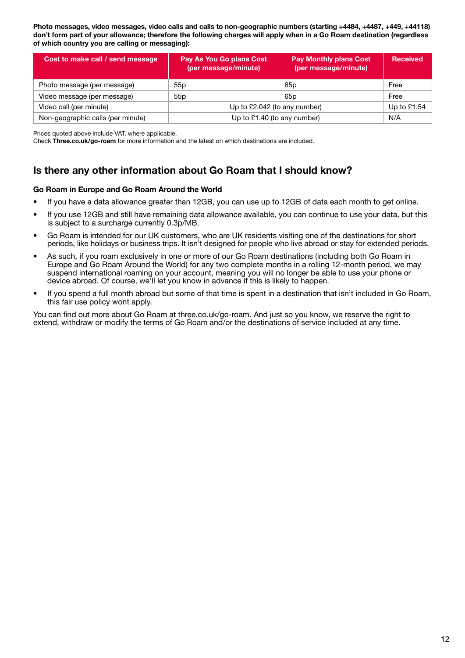**Photo messages, video messages, video calls and calls to non-geographic numbers (starting +4484, +4487, +449, +44118) don't form part of your allowance; therefore the following charges will apply when in a Go Roam destination (regardless of which country you are calling or messaging):**

| Cost to make call / send message  | Pay As You Go plans Cost<br>(per message/minute) | <b>Pay Monthly plans Cost</b><br>(per message/minute) | <b>Received</b> |
|-----------------------------------|--------------------------------------------------|-------------------------------------------------------|-----------------|
| Photo message (per message)       | 55p                                              | 65 <sub>p</sub>                                       | Free            |
| Video message (per message)       | 55p                                              | 65p                                                   | Free            |
| Video call (per minute)           | Up to £2.042 (to any number)                     |                                                       | Up to $£1.54$   |
| Non-geographic calls (per minute) | Up to £1.40 (to any number)                      |                                                       | N/A             |

Prices quoted above include VAT, where applicable.

Check **[Three.co.uk/go-roam](http://Three.co.uk/go-roam)** for more information and the latest on which destinations are included.

#### **Is there any other information about Go Roam that I should know?**

#### **Go Roam in Europe and Go Roam Around the World**

- If you have a data allowance greater than 12GB, you can use up to 12GB of data each month to get online.
- If you use 12GB and still have remaining data allowance available, you can continue to use your data, but this is subject to a surcharge currently 0.3p/MB.
- Go Roam is intended for our UK customers, who are UK residents visiting one of the destinations for short periods, like holidays or business trips. It isn't designed for people who live abroad or stay for extended periods.
- As such, if you roam exclusively in one or more of our Go Roam destinations (including both Go Roam in Europe and Go Roam Around the World) for any two complete months in a rolling 12-month period, we may suspend international roaming on your account, meaning you will no longer be able to use your phone or device abroad. Of course, we'll let you know in advance if this is likely to happen.
- If you spend a full month abroad but some of that time is spent in a destination that isn't included in Go Roam, this fair use policy wont apply.

You can find out more about Go Roam at [three.co.uk/go-roam](http://three.co.uk/go-roam). And just so you know, we reserve the right to extend, withdraw or modify the terms of Go Roam and/or the destinations of service included at any time.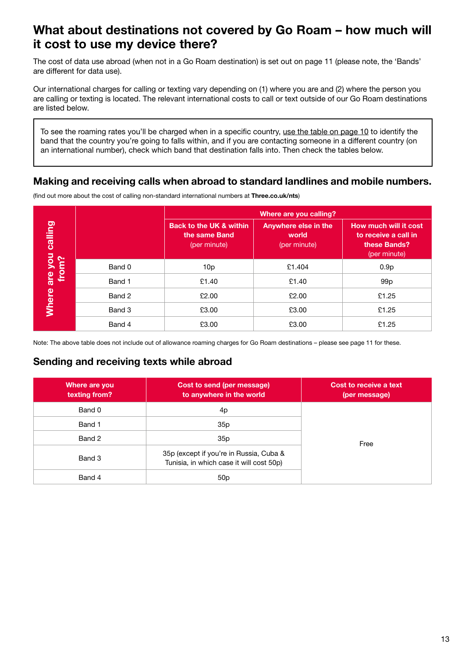### <span id="page-13-0"></span>**What about destinations not covered by Go Roam – how much will it cost to use my device there?**

The cost of data use abroad (when not in a Go Roam destination) is set out on page 11 (please note, the 'Bands' are different for data use).

Our international charges for calling or texting vary depending on (1) where you are and (2) where the person you are calling or texting is located. The relevant international costs to call or text outside of our Go Roam destinations are listed below.

To see the roaming rates you'll be charged when in a specific country, use the table on page 10 to identify the band that the country you're going to falls within, and if you are contacting someone in a different country (on an international number), check which band that destination falls into. Then check the tables below.

#### **Making and receiving calls when abroad to standard landlines and mobile numbers.**

|                  |        |                                                                     | Where are you calling?                        |                                                                               |
|------------------|--------|---------------------------------------------------------------------|-----------------------------------------------|-------------------------------------------------------------------------------|
| calling          |        | <b>Back to the UK &amp; within</b><br>the same Band<br>(per minute) | Anywhere else in the<br>world<br>(per minute) | How much will it cost<br>to receive a call in<br>these Bands?<br>(per minute) |
|                  | Band 0 | 10p                                                                 | £1.404                                        | 0.9 <sub>p</sub>                                                              |
| are you<br>from? | Band 1 | £1.40                                                               | £1.40                                         | 99 <sub>p</sub>                                                               |
| <b>Where</b>     | Band 2 | £2.00                                                               | £2.00                                         | £1.25                                                                         |
|                  | Band 3 | £3.00                                                               | £3.00                                         | £1.25                                                                         |
|                  | Band 4 | £3.00                                                               | £3.00                                         | £1.25                                                                         |

(find out more about the cost of calling non-standard international numbers at **[Three.co.uk/nts](http://Three.co.uk/nts)**)

Note: The above table does not include out of allowance roaming charges for Go Roam destinations – please see page 11 for these.

#### **Sending and receiving texts while abroad**

| Where are you<br>texting from? | Cost to send (per message)<br>to anywhere in the world                              | Cost to receive a text<br>(per message) |
|--------------------------------|-------------------------------------------------------------------------------------|-----------------------------------------|
| Band 0                         | 4p                                                                                  |                                         |
| Band 1                         | 35p                                                                                 |                                         |
| Band 2                         | 35p                                                                                 | Free                                    |
| Band 3                         | 35p (except if you're in Russia, Cuba &<br>Tunisia, in which case it will cost 50p) |                                         |
| Band 4                         | 50p                                                                                 |                                         |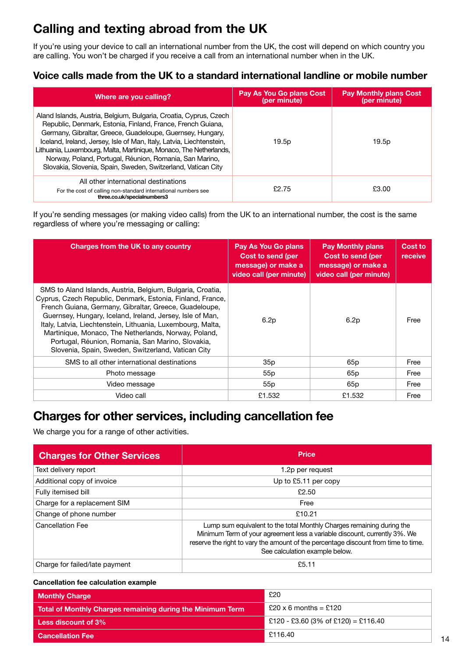## <span id="page-14-0"></span>**Calling and texting abroad from the UK**

If you're using your device to call an international number from the UK, the cost will depend on which country you are calling. You won't be charged if you receive a call from an international number when in the UK.

#### **Voice calls made from the UK to a standard international landline or mobile number**

| Where are you calling?                                                                                                                                                                                                                                                                                                                                                                                                                                                  | Pay As You Go plans Cost<br>(per minute) | <b>Pay Monthly plans Cost</b><br>(per minute) |
|-------------------------------------------------------------------------------------------------------------------------------------------------------------------------------------------------------------------------------------------------------------------------------------------------------------------------------------------------------------------------------------------------------------------------------------------------------------------------|------------------------------------------|-----------------------------------------------|
| Aland Islands, Austria, Belgium, Bulgaria, Croatia, Cyprus, Czech<br>Republic, Denmark, Estonia, Finland, France, French Guiana,<br>Germany, Gibraltar, Greece, Guadeloupe, Guernsey, Hungary,<br>Iceland, Ireland, Jersey, Isle of Man, Italy, Latvia, Liechtenstein,<br>Lithuania, Luxembourg, Malta, Martinique, Monaco, The Netherlands,<br>Norway, Poland, Portugal, Réunion, Romania, San Marino,<br>Slovakia, Slovenia, Spain, Sweden, Switzerland, Vatican City | 19.5p                                    | 19.5p                                         |
| All other international destinations<br>For the cost of calling non-standard international numbers see<br>three.co.uk/specialnumbers3                                                                                                                                                                                                                                                                                                                                   | £2.75                                    | £3.00                                         |

If you're sending messages (or making video calls) from the UK to an international number, the cost is the same regardless of where you're messaging or calling:

| Charges from the UK to any country                                                                                                                                                                                                                                                                                                                                                                                                                                                | <b>Pay As You Go plans</b><br>Cost to send (per<br>message) or make a<br>video call (per minute) | <b>Pay Monthly plans</b><br>Cost to send (per<br>message) or make a<br>video call (per minute) | Cost to<br>receive |
|-----------------------------------------------------------------------------------------------------------------------------------------------------------------------------------------------------------------------------------------------------------------------------------------------------------------------------------------------------------------------------------------------------------------------------------------------------------------------------------|--------------------------------------------------------------------------------------------------|------------------------------------------------------------------------------------------------|--------------------|
| SMS to Aland Islands, Austria, Belgium, Bulgaria, Croatia,<br>Cyprus, Czech Republic, Denmark, Estonia, Finland, France,<br>French Guiana, Germany, Gibraltar, Greece, Guadeloupe,<br>Guernsey, Hungary, Iceland, Ireland, Jersey, Isle of Man,<br>Italy, Latvia, Liechtenstein, Lithuania, Luxembourg, Malta,<br>Martinique, Monaco, The Netherlands, Norway, Poland,<br>Portugal, Réunion, Romania, San Marino, Slovakia,<br>Slovenia, Spain, Sweden, Switzerland, Vatican City | 6.2p                                                                                             | 6.2p                                                                                           | Free               |
| SMS to all other international destinations                                                                                                                                                                                                                                                                                                                                                                                                                                       | 35p                                                                                              | 65 <sub>p</sub>                                                                                | Free               |
| Photo message                                                                                                                                                                                                                                                                                                                                                                                                                                                                     | 55p                                                                                              | 65 <sub>p</sub>                                                                                | Free               |
| Video message                                                                                                                                                                                                                                                                                                                                                                                                                                                                     | 55 <sub>p</sub>                                                                                  | 65 <sub>p</sub>                                                                                | Free               |
| Video call                                                                                                                                                                                                                                                                                                                                                                                                                                                                        | £1.532                                                                                           | £1.532                                                                                         | Free               |

### <span id="page-14-1"></span>**Charges for other services, including cancellation fee**

We charge you for a range of other activities.

| <b>Charges for Other Services</b> | <b>Price</b>                                                                                                                                                                                                                                                               |
|-----------------------------------|----------------------------------------------------------------------------------------------------------------------------------------------------------------------------------------------------------------------------------------------------------------------------|
| Text delivery report              | 1.2p per request                                                                                                                                                                                                                                                           |
| Additional copy of invoice        | Up to £5.11 per copy                                                                                                                                                                                                                                                       |
| Fully itemised bill               | £2.50                                                                                                                                                                                                                                                                      |
| Charge for a replacement SIM      | Free                                                                                                                                                                                                                                                                       |
| Change of phone number            | £10.21                                                                                                                                                                                                                                                                     |
| <b>Cancellation Fee</b>           | Lump sum equivalent to the total Monthly Charges remaining during the<br>Minimum Term of your agreement less a variable discount, currently 3%. We<br>reserve the right to vary the amount of the percentage discount from time to time.<br>See calculation example below. |
| Charge for failed/late payment    | £5.11                                                                                                                                                                                                                                                                      |

#### **Cancellation fee calculation example**

| <b>Monthly Charge</b>                                      | £20                                 |
|------------------------------------------------------------|-------------------------------------|
| Total of Monthly Charges remaining during the Minimum Term | $£20 \times 6$ months = £120        |
| $\mid$ Less discount of 3% $\mid$                          | £120 - £3.60 (3% of £120) = £116.40 |
| <b>Cancellation Fee</b>                                    | £116.40                             |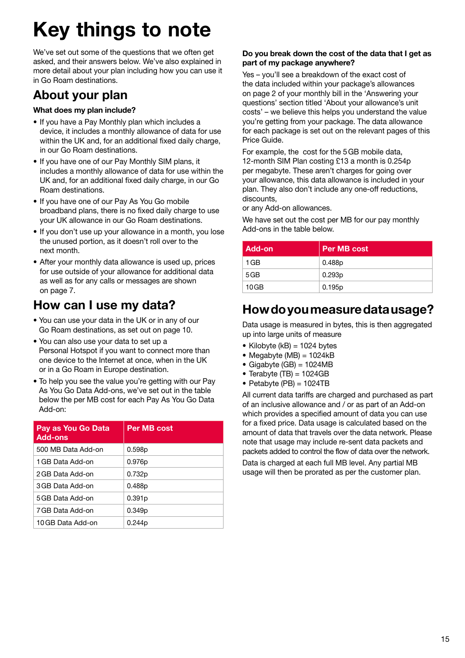# <span id="page-15-0"></span>**Key things to note**

We've set out some of the questions that we often get asked, and their answers below. We've also explained in more detail about your plan including how you can use it in Go Roam destinations.

## **About your plan**

#### **What does my plan include?**

- If you have a Pay Monthly plan which includes a device, it includes a monthly allowance of data for use within the UK and, for an additional fixed daily charge, in our Go Roam destinations.
- If you have one of our Pay Monthly SIM plans, it includes a monthly allowance of data for use within the UK and, for an additional fixed daily charge, in our Go Roam destinations.
- If you have one of our Pay As You Go mobile broadband plans, there is no fixed daily charge to use your UK allowance in our Go Roam destinations.
- If you don't use up your allowance in a month, you lose the unused portion, as it doesn't roll over to the next month.
- After your monthly data allowance is used up, prices for use outside of your allowance for additional data as well as for any calls or messages are shown on page 7.

## **How can I use my data?**

- You can use your data in the UK or in any of our Go Roam destinations, as set out on page 10.
- You can also use your data to set up a Personal Hotspot if you want to connect more than one device to the Internet at once, when in the UK or in a Go Roam in Europe destination.
- To help you see the value you're getting with our Pay As You Go Data Add-ons, we've set out in the table below the per MB cost for each Pay As You Go Data Add-on:

| Pay as You Go Data<br><b>Add-ons</b> | <b>Per MB cost</b> |
|--------------------------------------|--------------------|
| 500 MB Data Add-on                   | 0.598p             |
| 1 GB Data Add-on                     | 0.976p             |
| 2 GB Data Add-on                     | 0.732p             |
| 3 GB Data Add-on                     | 0.488p             |
| 5 GB Data Add-on                     | 0.391p             |
| 7 GB Data Add-on                     | 0.349 <sub>p</sub> |
| 10 GB Data Add-on                    | 0.244p             |

#### **Do you break down the cost of the data that I get as part of my package anywhere?**

Yes – you'll see a breakdown of the exact cost of the data included within your package's allowances on page 2 of your monthly bill in the 'Answering your questions' section titled 'About your allowance's unit costs' – we believe this helps you understand the value you're getting from your package. The data allowance for each package is set out on the relevant pages of this Price Guide.

For example, the cost for the 5GB mobile data, 12-month SIM Plan costing £13 a month is 0.254p per megabyte. These aren't charges for going over your allowance, this data allowance is included in your plan. They also don't include any one-off reductions, discounts,

or any Add-on allowances.

We have set out the cost per MB for our pay monthly Add-ons in the table below.

| Add-on | Per MB cost |
|--------|-------------|
| 1 GB   | 0.488p      |
| 5GB    | 0.293p      |
| 10GB   | 0.195p      |

## **How do you measure data usage?**

Data usage is measured in bytes, this is then aggregated up into large units of measure

- Kilobyte ( $kB$ ) = 1024 bytes
- $\bullet$  Megabyte (MB) = 1024kB
- $\bullet$  Gigabyte (GB) = 1024MB
- Terabyte  $(TB) = 1024GB$
- Petabyte  $(PB) = 1024TB$

All current data tariffs are charged and purchased as part of an inclusive allowance and / or as part of an Add-on which provides a specified amount of data you can use for a fixed price. Data usage is calculated based on the amount of data that travels over the data network. Please note that usage may include re-sent data packets and packets added to control the flow of data over the network.

Data is charged at each full MB level. Any partial MB usage will then be prorated as per the customer plan.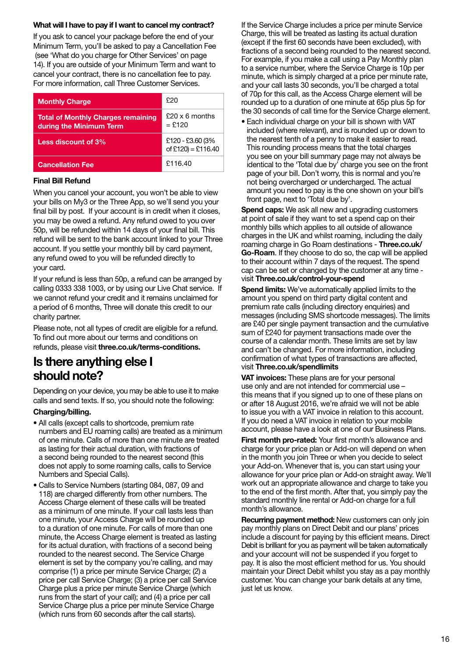#### **What will I have to pay if I want to cancel my contract?**

If you ask to cancel your package before the end of your Minimum Term, you'll be asked to pay a Cancellation Fee (see 'What do you charge for Other Services' on page 14). If you are outside of your Minimum Term and want to cancel your contract, there is no cancellation fee to pay. For more information, call Three Customer Services.

| <b>Monthly Charge</b>                                                | ዮ20                                    |
|----------------------------------------------------------------------|----------------------------------------|
| <b>Total of Monthly Charges remaining</b><br>during the Minimum Term | $£20 \times 6$ months<br>$=$ £120      |
| Less discount of 3%                                                  | £120 - £3.60 (3%<br>of £120) = £116.40 |
| <b>Cancellation Fee</b>                                              | £116.40                                |

#### **Final Bill Refund**

When you cancel your account, you won't be able to view your bills on My3 or the Three App, so we'll send you your final bill by post. If your account is in credit when it closes, you may be owed a refund. Any refund owed to you over 50p, will be refunded within 14 days of your final bill. This refund will be sent to the bank account linked to your Three account. If you settle your monthly bill by card payment, any refund owed to you will be refunded directly to your card.

If your refund is less than 50p, a refund can be arranged by calling 0333 338 1003, or by using our Live Chat service. If we cannot refund your credit and it remains unclaimed for a period of 6 months, Three will donate this credit to our charity partner.

Please note, not all types of credit are eligible for a refund. To find out more about our terms and conditions on refunds, please visit **[three.co.uk/terms-conditions](http://three.co.uk/terms-conditions).**

### **Is there anything else I should note?**

Depending on your device, you may be able to use it to make calls and send texts. If so, you should note the following:

#### **Charging/billing.**

- All calls (except calls to shortcode, premium rate numbers and EU roaming calls) are treated as a minimum of one minute. Calls of more than one minute are treated as lasting for their actual duration, with fractions of a second being rounded to the nearest second (this does not apply to some roaming calls, calls to Service Numbers and Special Calls).
- Calls to Service Numbers (starting 084, 087, 09 and 118) are charged differently from other numbers. The Access Charge element of these calls will be treated as a minimum of one minute. If your call lasts less than one minute, your Access Charge will be rounded up to a duration of one minute. For calls of more than one minute, the Access Charge element is treated as lasting for its actual duration, with fractions of a second being rounded to the nearest second. The Service Charge element is set by the company you're calling, and may comprise (1) a price per minute Service Charge; (2) a price per call Service Charge; (3) a price per call Service Charge plus a price per minute Service Charge (which runs from the start of your call); and (4) a price per call Service Charge plus a price per minute Service Charge (which runs from 60 seconds after the call starts).

If the Service Charge includes a price per minute Service Charge, this will be treated as lasting its actual duration (except if the first 60 seconds have been excluded), with fractions of a second being rounded to the nearest second. For example, if you make a call using a Pay Monthly plan to a service number, where the Service Charge is 10p per minute, which is simply charged at a price per minute rate, and your call lasts 30 seconds, you'll be charged a total of 70p for this call, as the Access Charge element will be rounded up to a duration of one minute at 65p plus 5p for the 30 seconds of call time for the Service Charge element.

• Each individual charge on your bill is shown with VAT included (where relevant), and is rounded up or down to the nearest tenth of a penny to make it easier to read. This rounding process means that the total charges you see on your bill summary page may not always be identical to the 'Total due by' charge you see on the front page of your bill. Don't worry, this is normal and you're not being overcharged or undercharged. The actual amount you need to pay is the one shown on your bill's front page, next to 'Total due by'.

**Spend caps:** We ask all new and upgrading customers at point of sale if they want to set a spend cap on their monthly bills which applies to all outside of allowance charges in the UK and whilst roaming, including the daily roaming charge in Go Roam destinations - **[Three.co.uk/](http://Three.co.uk/Go-Roam) [Go-Roam](http://Three.co.uk/Go-Roam)**. If they choose to do so, the cap will be applied to their account within 7 days of the request. The spend cap can be set or changed by the customer at any time visit **[Three.co.uk/control-your-spend](http://Three.co.uk/control-your-spend)**

**Spend limits:** We've automatically applied limits to the amount you spend on third party digital content and premium rate calls (including directory enquiries) and messages (including SMS shortcode messages). The limits are £40 per single payment transaction and the cumulative sum of £240 for payment transactions made over the course of a calendar month. These limits are set by law and can't be changed. For more information, including confirmation of what types of transactions are affected, visit **[Three.co.uk/spendlimits](http://Three.co.uk/spendlimits)**

**VAT invoices:** These plans are for your personal use only and are not intended for commercial use – this means that if you signed up to one of these plans on or after 18 August 2016, we're afraid we will not be able to issue you with a VAT invoice in relation to this account. If you do need a VAT invoice in relation to your mobile account, please have a look at one of our Business Plans.

**First month pro-rated:** Your first month's allowance and charge for your price plan or Add-on will depend on when in the month you join Three or when you decide to select your Add-on. Whenever that is, you can start using your allowance for your price plan or Add-on straight away. We'll work out an appropriate allowance and charge to take you to the end of the first month. After that, you simply pay the standard monthly line rental or Add-on charge for a full month's allowance.

**Recurring payment method:** New customers can only join pay monthly plans on Direct Debit and our plans' prices include a discount for paying by this efficient means. Direct Debit is brilliant for you as payment will be taken automatically and your account will not be suspended if you forget to pay. It is also the most efficient method for us. You should maintain your Direct Debit whilst you stay as a pay monthly customer. You can change your bank details at any time, just let us know.